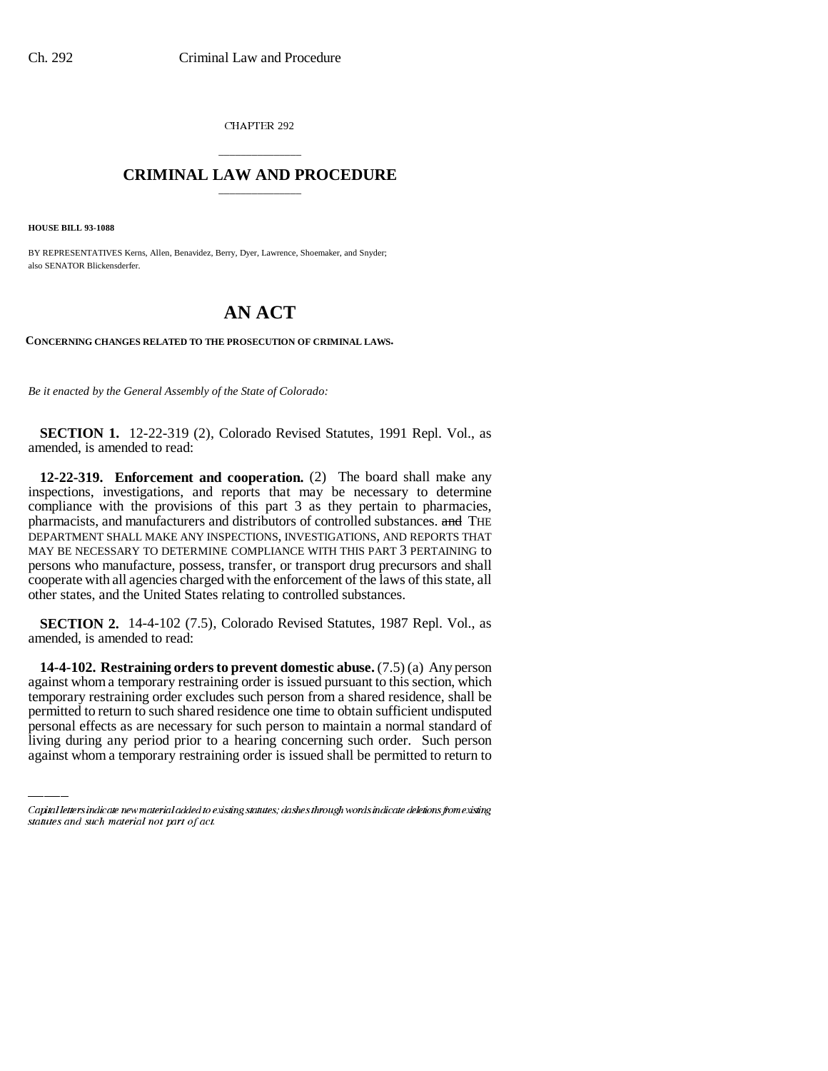CHAPTER 292

# \_\_\_\_\_\_\_\_\_\_\_\_\_\_\_ **CRIMINAL LAW AND PROCEDURE** \_\_\_\_\_\_\_\_\_\_\_\_\_\_\_

**HOUSE BILL 93-1088**

BY REPRESENTATIVES Kerns, Allen, Benavidez, Berry, Dyer, Lawrence, Shoemaker, and Snyder; also SENATOR Blickensderfer.

# **AN ACT**

**CONCERNING CHANGES RELATED TO THE PROSECUTION OF CRIMINAL LAWS.**

*Be it enacted by the General Assembly of the State of Colorado:*

**SECTION 1.** 12-22-319 (2), Colorado Revised Statutes, 1991 Repl. Vol., as amended, is amended to read:

**12-22-319. Enforcement and cooperation.** (2) The board shall make any inspections, investigations, and reports that may be necessary to determine compliance with the provisions of this part 3 as they pertain to pharmacies, pharmacists, and manufacturers and distributors of controlled substances. and THE DEPARTMENT SHALL MAKE ANY INSPECTIONS, INVESTIGATIONS, AND REPORTS THAT MAY BE NECESSARY TO DETERMINE COMPLIANCE WITH THIS PART 3 PERTAINING to persons who manufacture, possess, transfer, or transport drug precursors and shall cooperate with all agencies charged with the enforcement of the laws of this state, all other states, and the United States relating to controlled substances.

**SECTION 2.** 14-4-102 (7.5), Colorado Revised Statutes, 1987 Repl. Vol., as amended, is amended to read:

temporary restraining order excludes such person from a shared residence, shall be **14-4-102. Restraining orders to prevent domestic abuse.** (7.5) (a) Any person against whom a temporary restraining order is issued pursuant to this section, which permitted to return to such shared residence one time to obtain sufficient undisputed personal effects as are necessary for such person to maintain a normal standard of living during any period prior to a hearing concerning such order. Such person against whom a temporary restraining order is issued shall be permitted to return to

Capital letters indicate new material added to existing statutes; dashes through words indicate deletions from existing statutes and such material not part of act.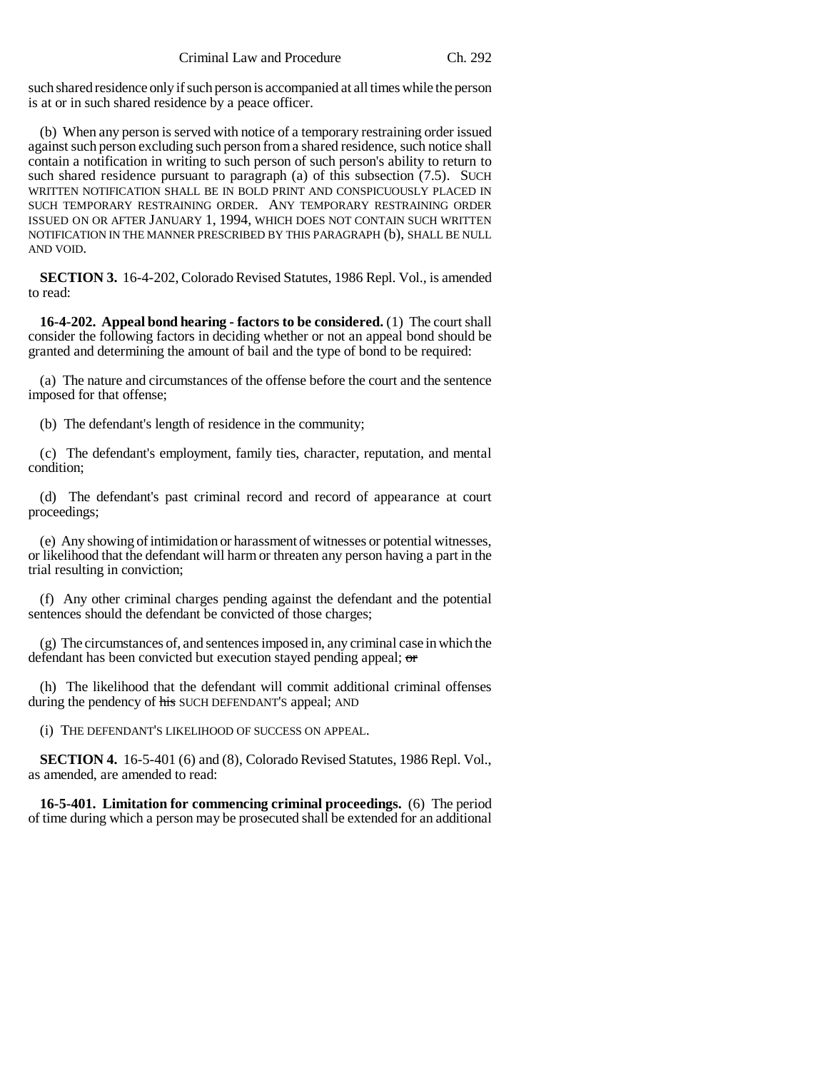such shared residence only if such person is accompanied at all times while the person is at or in such shared residence by a peace officer.

(b) When any person is served with notice of a temporary restraining order issued against such person excluding such person from a shared residence, such notice shall contain a notification in writing to such person of such person's ability to return to such shared residence pursuant to paragraph (a) of this subsection (7.5). SUCH WRITTEN NOTIFICATION SHALL BE IN BOLD PRINT AND CONSPICUOUSLY PLACED IN SUCH TEMPORARY RESTRAINING ORDER. ANY TEMPORARY RESTRAINING ORDER ISSUED ON OR AFTER JANUARY 1, 1994, WHICH DOES NOT CONTAIN SUCH WRITTEN NOTIFICATION IN THE MANNER PRESCRIBED BY THIS PARAGRAPH (b), SHALL BE NULL AND VOID.

**SECTION 3.** 16-4-202, Colorado Revised Statutes, 1986 Repl. Vol., is amended to read:

**16-4-202. Appeal bond hearing - factors to be considered.** (1) The court shall consider the following factors in deciding whether or not an appeal bond should be granted and determining the amount of bail and the type of bond to be required:

(a) The nature and circumstances of the offense before the court and the sentence imposed for that offense;

(b) The defendant's length of residence in the community;

(c) The defendant's employment, family ties, character, reputation, and mental condition;

(d) The defendant's past criminal record and record of appearance at court proceedings;

(e) Any showing of intimidation or harassment of witnesses or potential witnesses, or likelihood that the defendant will harm or threaten any person having a part in the trial resulting in conviction;

(f) Any other criminal charges pending against the defendant and the potential sentences should the defendant be convicted of those charges;

(g) The circumstances of, and sentences imposed in, any criminal case in which the defendant has been convicted but execution stayed pending appeal; or

(h) The likelihood that the defendant will commit additional criminal offenses during the pendency of his SUCH DEFENDANT'S appeal; AND

(i) THE DEFENDANT'S LIKELIHOOD OF SUCCESS ON APPEAL.

**SECTION 4.** 16-5-401 (6) and (8), Colorado Revised Statutes, 1986 Repl. Vol., as amended, are amended to read:

**16-5-401. Limitation for commencing criminal proceedings.** (6) The period of time during which a person may be prosecuted shall be extended for an additional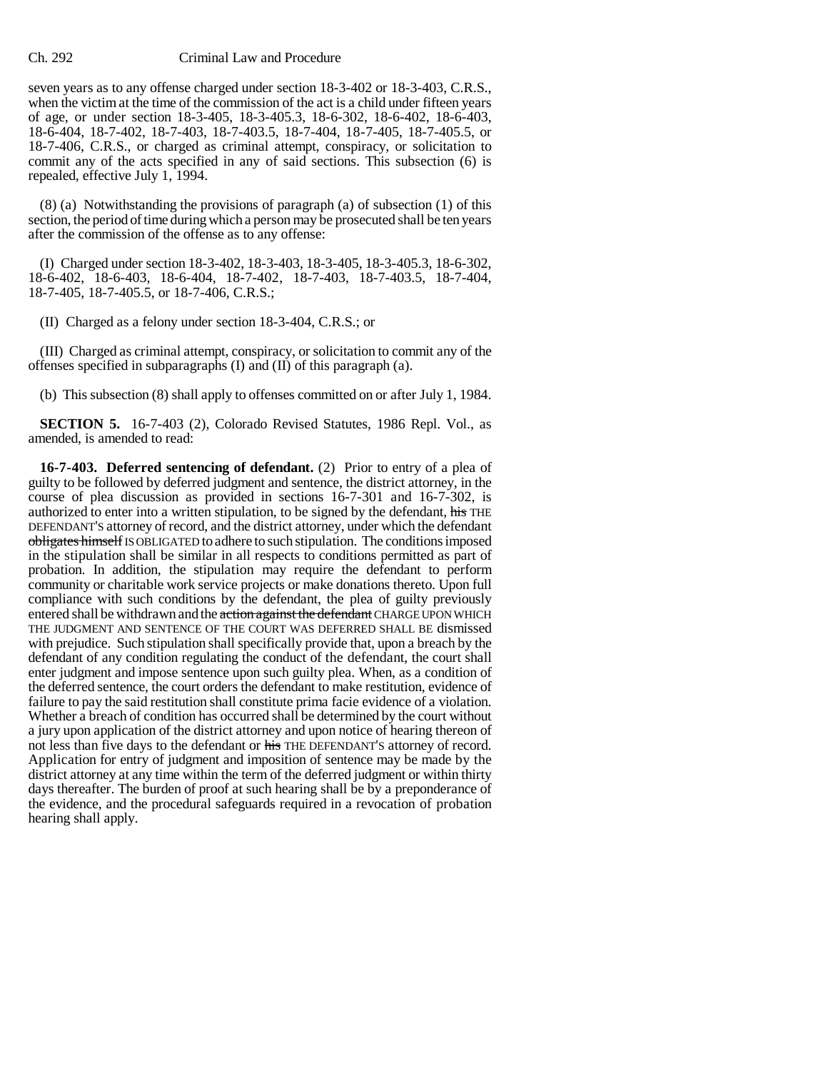seven years as to any offense charged under section 18-3-402 or 18-3-403, C.R.S., when the victim at the time of the commission of the act is a child under fifteen years of age, or under section 18-3-405, 18-3-405.3, 18-6-302, 18-6-402, 18-6-403, 18-6-404, 18-7-402, 18-7-403, 18-7-403.5, 18-7-404, 18-7-405, 18-7-405.5, or 18-7-406, C.R.S., or charged as criminal attempt, conspiracy, or solicitation to commit any of the acts specified in any of said sections. This subsection (6) is repealed, effective July 1, 1994.

(8) (a) Notwithstanding the provisions of paragraph (a) of subsection (1) of this section, the period of time during which a person may be prosecuted shall be ten years after the commission of the offense as to any offense:

(I) Charged under section 18-3-402, 18-3-403, 18-3-405, 18-3-405.3, 18-6-302, 18-6-402, 18-6-403, 18-6-404, 18-7-402, 18-7-403, 18-7-403.5, 18-7-404, 18-7-405, 18-7-405.5, or 18-7-406, C.R.S.;

(II) Charged as a felony under section 18-3-404, C.R.S.; or

(III) Charged as criminal attempt, conspiracy, or solicitation to commit any of the offenses specified in subparagraphs (I) and (II) of this paragraph (a).

(b) This subsection (8) shall apply to offenses committed on or after July 1, 1984.

**SECTION 5.** 16-7-403 (2), Colorado Revised Statutes, 1986 Repl. Vol., as amended, is amended to read:

**16-7-403. Deferred sentencing of defendant.** (2) Prior to entry of a plea of guilty to be followed by deferred judgment and sentence, the district attorney, in the course of plea discussion as provided in sections 16-7-301 and 16-7-302, is authorized to enter into a written stipulation, to be signed by the defendant, his THE DEFENDANT'S attorney of record, and the district attorney, under which the defendant obligates himself IS OBLIGATED to adhere to such stipulation. The conditions imposed in the stipulation shall be similar in all respects to conditions permitted as part of probation. In addition, the stipulation may require the defendant to perform community or charitable work service projects or make donations thereto. Upon full compliance with such conditions by the defendant, the plea of guilty previously entered shall be withdrawn and the action against the defendant CHARGE UPON WHICH THE JUDGMENT AND SENTENCE OF THE COURT WAS DEFERRED SHALL BE dismissed with prejudice. Such stipulation shall specifically provide that, upon a breach by the defendant of any condition regulating the conduct of the defendant, the court shall enter judgment and impose sentence upon such guilty plea. When, as a condition of the deferred sentence, the court orders the defendant to make restitution, evidence of failure to pay the said restitution shall constitute prima facie evidence of a violation. Whether a breach of condition has occurred shall be determined by the court without a jury upon application of the district attorney and upon notice of hearing thereon of not less than five days to the defendant or his THE DEFENDANT'S attorney of record. Application for entry of judgment and imposition of sentence may be made by the district attorney at any time within the term of the deferred judgment or within thirty days thereafter. The burden of proof at such hearing shall be by a preponderance of the evidence, and the procedural safeguards required in a revocation of probation hearing shall apply.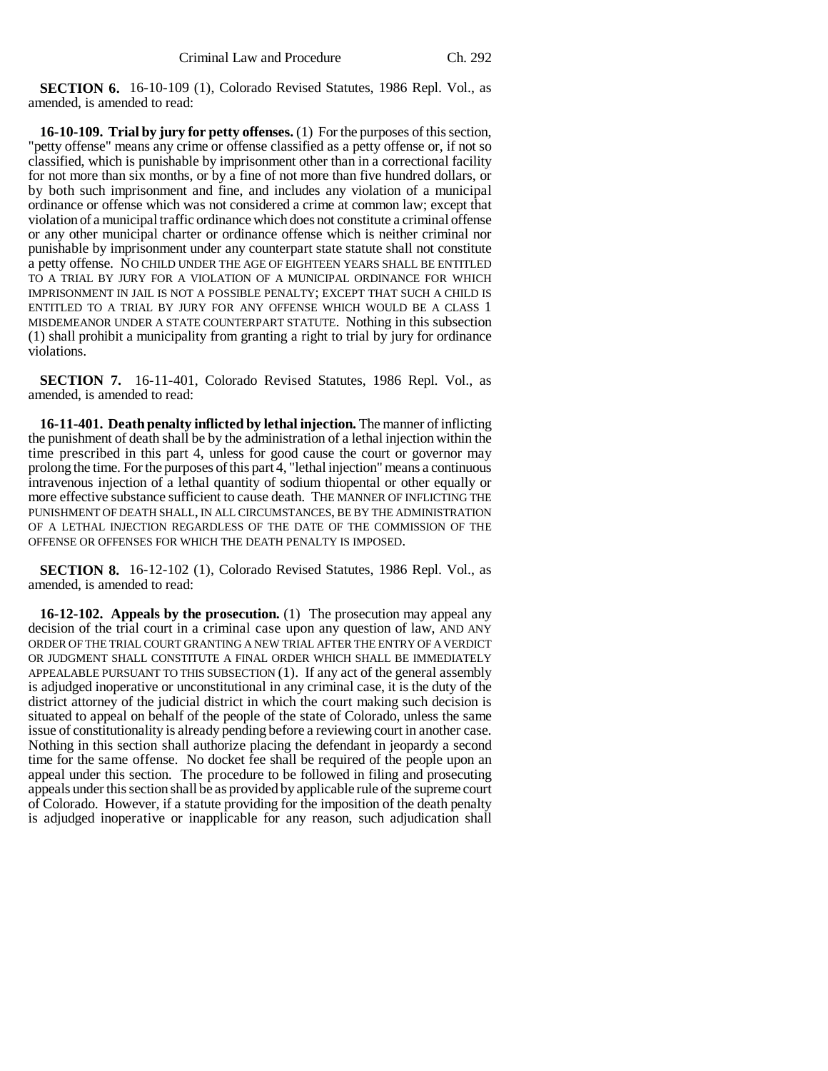**SECTION 6.** 16-10-109 (1), Colorado Revised Statutes, 1986 Repl. Vol., as amended, is amended to read:

**16-10-109. Trial by jury for petty offenses.** (1) For the purposes of this section, "petty offense" means any crime or offense classified as a petty offense or, if not so classified, which is punishable by imprisonment other than in a correctional facility for not more than six months, or by a fine of not more than five hundred dollars, or by both such imprisonment and fine, and includes any violation of a municipal ordinance or offense which was not considered a crime at common law; except that violation of a municipal traffic ordinance which does not constitute a criminal offense or any other municipal charter or ordinance offense which is neither criminal nor punishable by imprisonment under any counterpart state statute shall not constitute a petty offense. NO CHILD UNDER THE AGE OF EIGHTEEN YEARS SHALL BE ENTITLED TO A TRIAL BY JURY FOR A VIOLATION OF A MUNICIPAL ORDINANCE FOR WHICH IMPRISONMENT IN JAIL IS NOT A POSSIBLE PENALTY; EXCEPT THAT SUCH A CHILD IS ENTITLED TO A TRIAL BY JURY FOR ANY OFFENSE WHICH WOULD BE A CLASS 1 MISDEMEANOR UNDER A STATE COUNTERPART STATUTE. Nothing in this subsection (1) shall prohibit a municipality from granting a right to trial by jury for ordinance violations.

**SECTION 7.** 16-11-401, Colorado Revised Statutes, 1986 Repl. Vol., as amended, is amended to read:

**16-11-401. Death penalty inflicted by lethal injection.** The manner of inflicting the punishment of death shall be by the administration of a lethal injection within the time prescribed in this part 4, unless for good cause the court or governor may prolong the time. For the purposes of this part 4, "lethal injection" means a continuous intravenous injection of a lethal quantity of sodium thiopental or other equally or more effective substance sufficient to cause death. THE MANNER OF INFLICTING THE PUNISHMENT OF DEATH SHALL, IN ALL CIRCUMSTANCES, BE BY THE ADMINISTRATION OF A LETHAL INJECTION REGARDLESS OF THE DATE OF THE COMMISSION OF THE OFFENSE OR OFFENSES FOR WHICH THE DEATH PENALTY IS IMPOSED.

**SECTION 8.** 16-12-102 (1), Colorado Revised Statutes, 1986 Repl. Vol., as amended, is amended to read:

**16-12-102. Appeals by the prosecution.** (1) The prosecution may appeal any decision of the trial court in a criminal case upon any question of law, AND ANY ORDER OF THE TRIAL COURT GRANTING A NEW TRIAL AFTER THE ENTRY OF A VERDICT OR JUDGMENT SHALL CONSTITUTE A FINAL ORDER WHICH SHALL BE IMMEDIATELY APPEALABLE PURSUANT TO THIS SUBSECTION (1). If any act of the general assembly is adjudged inoperative or unconstitutional in any criminal case, it is the duty of the district attorney of the judicial district in which the court making such decision is situated to appeal on behalf of the people of the state of Colorado, unless the same issue of constitutionality is already pending before a reviewing court in another case. Nothing in this section shall authorize placing the defendant in jeopardy a second time for the same offense. No docket fee shall be required of the people upon an appeal under this section. The procedure to be followed in filing and prosecuting appeals under this section shall be as provided by applicable rule of the supreme court of Colorado. However, if a statute providing for the imposition of the death penalty is adjudged inoperative or inapplicable for any reason, such adjudication shall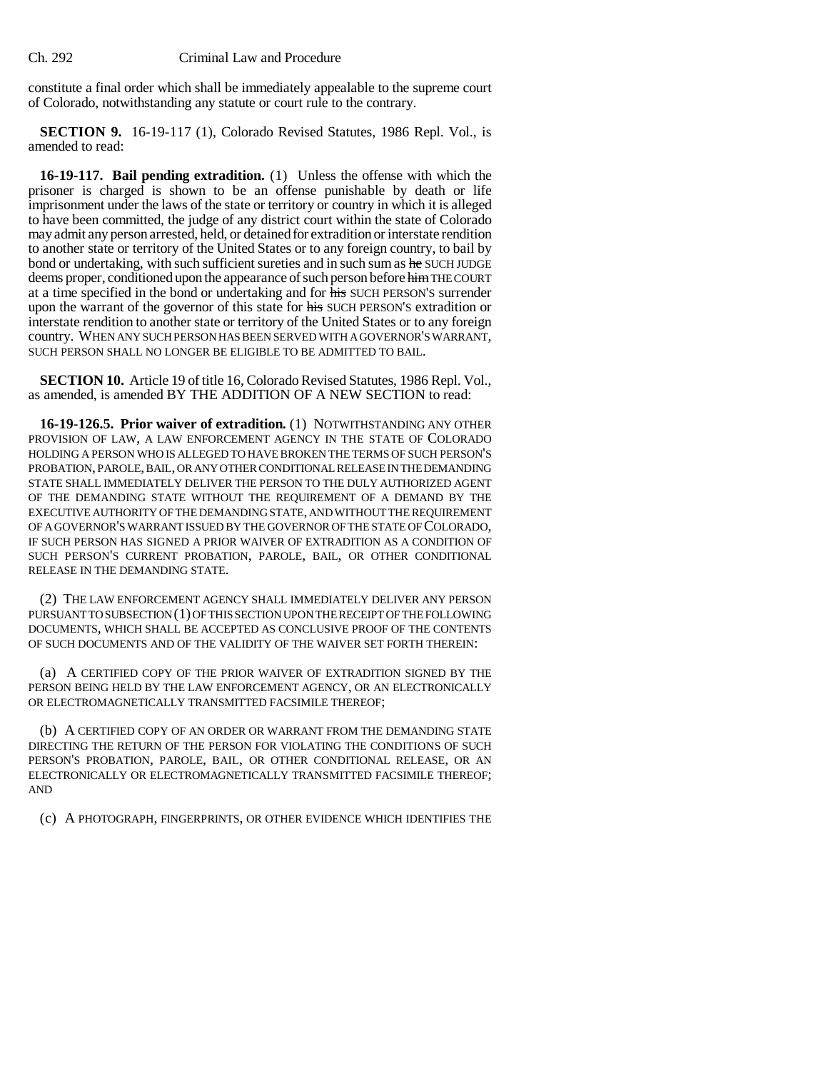constitute a final order which shall be immediately appealable to the supreme court of Colorado, notwithstanding any statute or court rule to the contrary.

**SECTION 9.** 16-19-117 (1), Colorado Revised Statutes, 1986 Repl. Vol., is amended to read:

**16-19-117. Bail pending extradition.** (1) Unless the offense with which the prisoner is charged is shown to be an offense punishable by death or life imprisonment under the laws of the state or territory or country in which it is alleged to have been committed, the judge of any district court within the state of Colorado may admit any person arrested, held, or detained for extradition or interstate rendition to another state or territory of the United States or to any foreign country, to bail by bond or undertaking, with such sufficient sureties and in such sum as he SUCH JUDGE deems proper, conditioned upon the appearance of such person before him THE COURT at a time specified in the bond or undertaking and for his SUCH PERSON'S surrender upon the warrant of the governor of this state for his SUCH PERSON'S extradition or interstate rendition to another state or territory of the United States or to any foreign country. WHEN ANY SUCH PERSON HAS BEEN SERVED WITH A GOVERNOR'S WARRANT, SUCH PERSON SHALL NO LONGER BE ELIGIBLE TO BE ADMITTED TO BAIL.

**SECTION 10.** Article 19 of title 16, Colorado Revised Statutes, 1986 Repl. Vol., as amended, is amended BY THE ADDITION OF A NEW SECTION to read:

**16-19-126.5. Prior waiver of extradition.** (1) NOTWITHSTANDING ANY OTHER PROVISION OF LAW, A LAW ENFORCEMENT AGENCY IN THE STATE OF COLORADO HOLDING A PERSON WHO IS ALLEGED TO HAVE BROKEN THE TERMS OF SUCH PERSON'S PROBATION, PAROLE, BAIL, OR ANY OTHER CONDITIONAL RELEASE IN THE DEMANDING STATE SHALL IMMEDIATELY DELIVER THE PERSON TO THE DULY AUTHORIZED AGENT OF THE DEMANDING STATE WITHOUT THE REQUIREMENT OF A DEMAND BY THE EXECUTIVE AUTHORITY OF THE DEMANDING STATE, AND WITHOUT THE REQUIREMENT OF A GOVERNOR'S WARRANT ISSUED BY THE GOVERNOR OF THE STATE OF COLORADO, IF SUCH PERSON HAS SIGNED A PRIOR WAIVER OF EXTRADITION AS A CONDITION OF SUCH PERSON'S CURRENT PROBATION, PAROLE, BAIL, OR OTHER CONDITIONAL RELEASE IN THE DEMANDING STATE.

(2) THE LAW ENFORCEMENT AGENCY SHALL IMMEDIATELY DELIVER ANY PERSON PURSUANT TO SUBSECTION (1) OF THIS SECTION UPON THE RECEIPT OF THE FOLLOWING DOCUMENTS, WHICH SHALL BE ACCEPTED AS CONCLUSIVE PROOF OF THE CONTENTS OF SUCH DOCUMENTS AND OF THE VALIDITY OF THE WAIVER SET FORTH THEREIN:

(a) A CERTIFIED COPY OF THE PRIOR WAIVER OF EXTRADITION SIGNED BY THE PERSON BEING HELD BY THE LAW ENFORCEMENT AGENCY, OR AN ELECTRONICALLY OR ELECTROMAGNETICALLY TRANSMITTED FACSIMILE THEREOF;

(b) A CERTIFIED COPY OF AN ORDER OR WARRANT FROM THE DEMANDING STATE DIRECTING THE RETURN OF THE PERSON FOR VIOLATING THE CONDITIONS OF SUCH PERSON'S PROBATION, PAROLE, BAIL, OR OTHER CONDITIONAL RELEASE, OR AN ELECTRONICALLY OR ELECTROMAGNETICALLY TRANSMITTED FACSIMILE THEREOF; AND

(c) A PHOTOGRAPH, FINGERPRINTS, OR OTHER EVIDENCE WHICH IDENTIFIES THE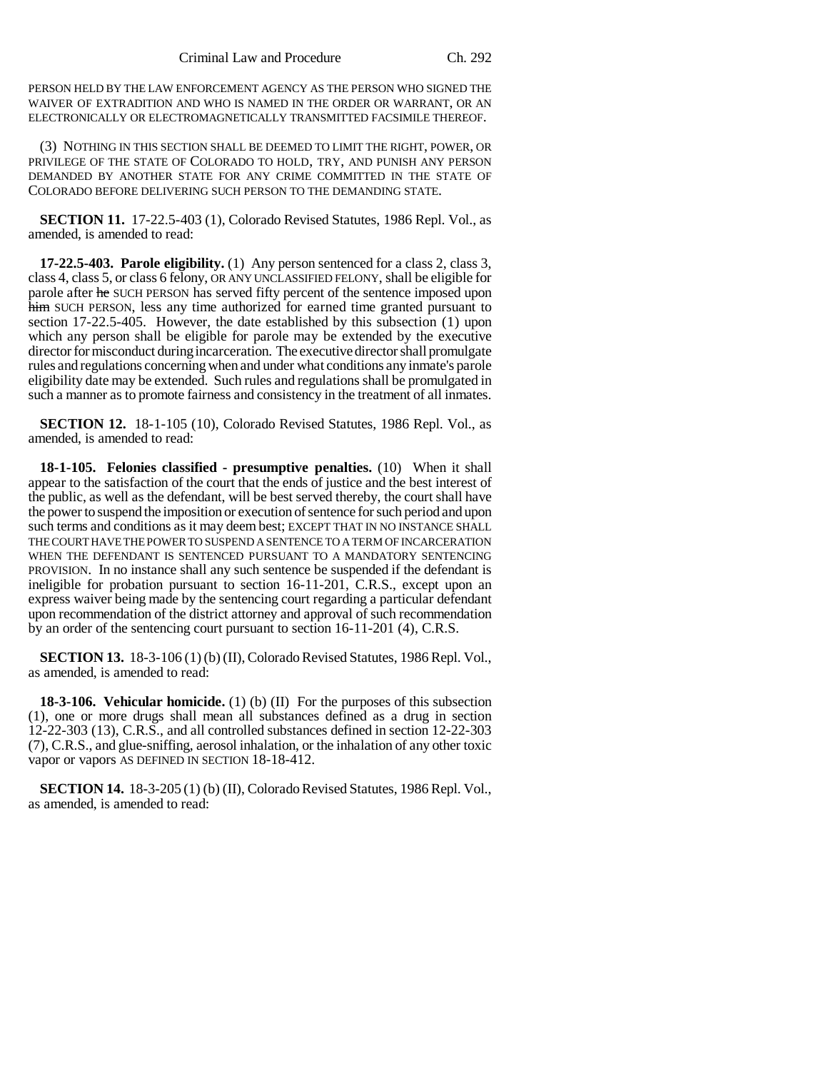PERSON HELD BY THE LAW ENFORCEMENT AGENCY AS THE PERSON WHO SIGNED THE WAIVER OF EXTRADITION AND WHO IS NAMED IN THE ORDER OR WARRANT, OR AN ELECTRONICALLY OR ELECTROMAGNETICALLY TRANSMITTED FACSIMILE THEREOF.

(3) NOTHING IN THIS SECTION SHALL BE DEEMED TO LIMIT THE RIGHT, POWER, OR PRIVILEGE OF THE STATE OF COLORADO TO HOLD, TRY, AND PUNISH ANY PERSON DEMANDED BY ANOTHER STATE FOR ANY CRIME COMMITTED IN THE STATE OF COLORADO BEFORE DELIVERING SUCH PERSON TO THE DEMANDING STATE.

**SECTION 11.** 17-22.5-403 (1), Colorado Revised Statutes, 1986 Repl. Vol., as amended, is amended to read:

**17-22.5-403. Parole eligibility.** (1) Any person sentenced for a class 2, class 3, class 4, class 5, or class 6 felony, OR ANY UNCLASSIFIED FELONY, shall be eligible for parole after he SUCH PERSON has served fifty percent of the sentence imposed upon him SUCH PERSON, less any time authorized for earned time granted pursuant to section 17-22.5-405. However, the date established by this subsection (1) upon which any person shall be eligible for parole may be extended by the executive director for misconduct during incarceration. The executive director shall promulgate rules and regulations concerning when and under what conditions any inmate's parole eligibility date may be extended. Such rules and regulations shall be promulgated in such a manner as to promote fairness and consistency in the treatment of all inmates.

**SECTION 12.** 18-1-105 (10), Colorado Revised Statutes, 1986 Repl. Vol., as amended, is amended to read:

**18-1-105. Felonies classified - presumptive penalties.** (10) When it shall appear to the satisfaction of the court that the ends of justice and the best interest of the public, as well as the defendant, will be best served thereby, the court shall have the power to suspend the imposition or execution of sentence for such period and upon such terms and conditions as it may deem best; EXCEPT THAT IN NO INSTANCE SHALL THE COURT HAVE THE POWER TO SUSPEND A SENTENCE TO A TERM OF INCARCERATION WHEN THE DEFENDANT IS SENTENCED PURSUANT TO A MANDATORY SENTENCING PROVISION. In no instance shall any such sentence be suspended if the defendant is ineligible for probation pursuant to section 16-11-201, C.R.S., except upon an express waiver being made by the sentencing court regarding a particular defendant upon recommendation of the district attorney and approval of such recommendation by an order of the sentencing court pursuant to section 16-11-201 (4), C.R.S.

**SECTION 13.** 18-3-106 (1) (b) (II), Colorado Revised Statutes, 1986 Repl. Vol., as amended, is amended to read:

**18-3-106. Vehicular homicide.** (1) (b) (II) For the purposes of this subsection (1), one or more drugs shall mean all substances defined as a drug in section 12-22-303 (13), C.R.S., and all controlled substances defined in section 12-22-303 (7), C.R.S., and glue-sniffing, aerosol inhalation, or the inhalation of any other toxic vapor or vapors AS DEFINED IN SECTION 18-18-412.

**SECTION 14.** 18-3-205 (1) (b) (II), Colorado Revised Statutes, 1986 Repl. Vol., as amended, is amended to read: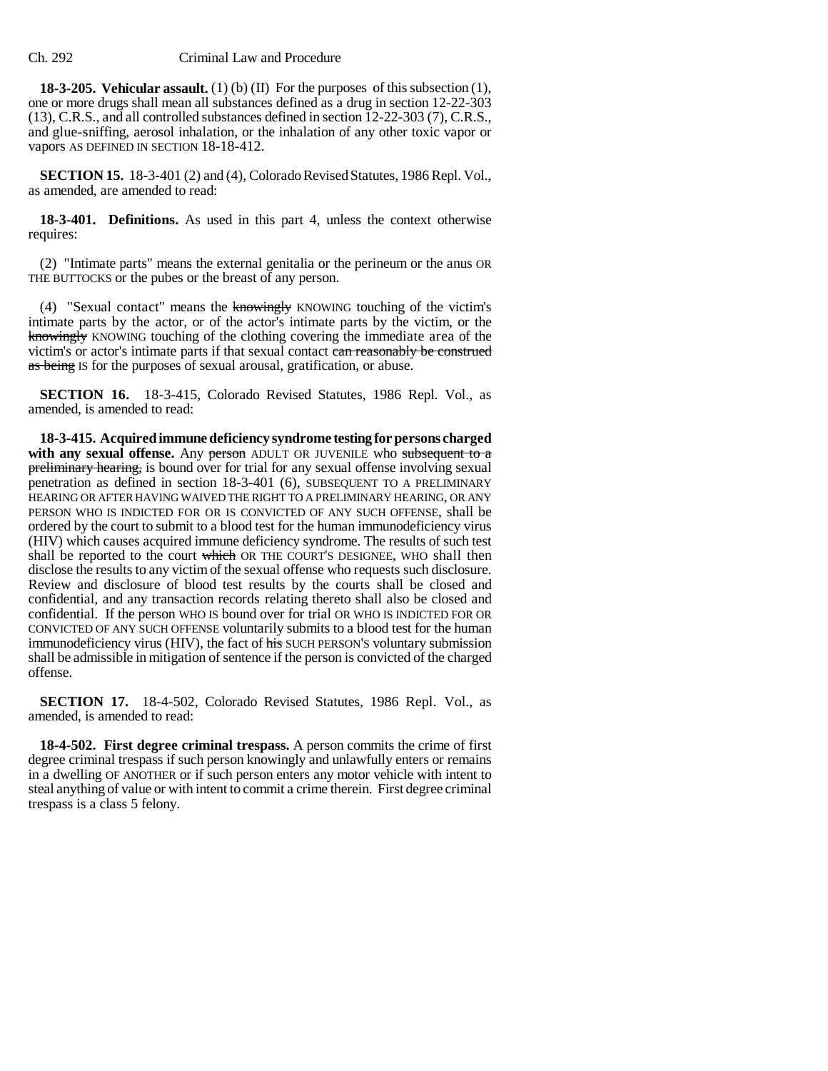**18-3-205. Vehicular assault.** (1) (b) (II) For the purposes of this subsection (1), one or more drugs shall mean all substances defined as a drug in section 12-22-303 (13), C.R.S., and all controlled substances defined in section 12-22-303 (7), C.R.S., and glue-sniffing, aerosol inhalation, or the inhalation of any other toxic vapor or vapors AS DEFINED IN SECTION 18-18-412.

**SECTION 15.** 18-3-401 (2) and (4), Colorado Revised Statutes, 1986 Repl. Vol., as amended, are amended to read:

**18-3-401. Definitions.** As used in this part 4, unless the context otherwise requires:

(2) "Intimate parts" means the external genitalia or the perineum or the anus OR THE BUTTOCKS or the pubes or the breast of any person.

(4) "Sexual contact" means the knowingly KNOWING touching of the victim's intimate parts by the actor, or of the actor's intimate parts by the victim, or the knowingly KNOWING touching of the clothing covering the immediate area of the victim's or actor's intimate parts if that sexual contact can reasonably be construed as being IS for the purposes of sexual arousal, gratification, or abuse.

**SECTION 16.** 18-3-415, Colorado Revised Statutes, 1986 Repl. Vol., as amended, is amended to read:

**18-3-415. Acquired immune deficiency syndrome testing for persons charged** with any sexual offense. Any person ADULT OR JUVENILE who subsequent to a preliminary hearing, is bound over for trial for any sexual offense involving sexual penetration as defined in section 18-3-401 (6), SUBSEQUENT TO A PRELIMINARY HEARING OR AFTER HAVING WAIVED THE RIGHT TO A PRELIMINARY HEARING, OR ANY PERSON WHO IS INDICTED FOR OR IS CONVICTED OF ANY SUCH OFFENSE, shall be ordered by the court to submit to a blood test for the human immunodeficiency virus (HIV) which causes acquired immune deficiency syndrome. The results of such test shall be reported to the court which OR THE COURT'S DESIGNEE, WHO shall then disclose the results to any victim of the sexual offense who requests such disclosure. Review and disclosure of blood test results by the courts shall be closed and confidential, and any transaction records relating thereto shall also be closed and confidential. If the person WHO IS bound over for trial OR WHO IS INDICTED FOR OR CONVICTED OF ANY SUCH OFFENSE voluntarily submits to a blood test for the human immunodeficiency virus (HIV), the fact of his SUCH PERSON'S voluntary submission shall be admissible in mitigation of sentence if the person is convicted of the charged offense.

**SECTION 17.** 18-4-502, Colorado Revised Statutes, 1986 Repl. Vol., as amended, is amended to read:

**18-4-502. First degree criminal trespass.** A person commits the crime of first degree criminal trespass if such person knowingly and unlawfully enters or remains in a dwelling OF ANOTHER or if such person enters any motor vehicle with intent to steal anything of value or with intent to commit a crime therein. First degree criminal trespass is a class 5 felony.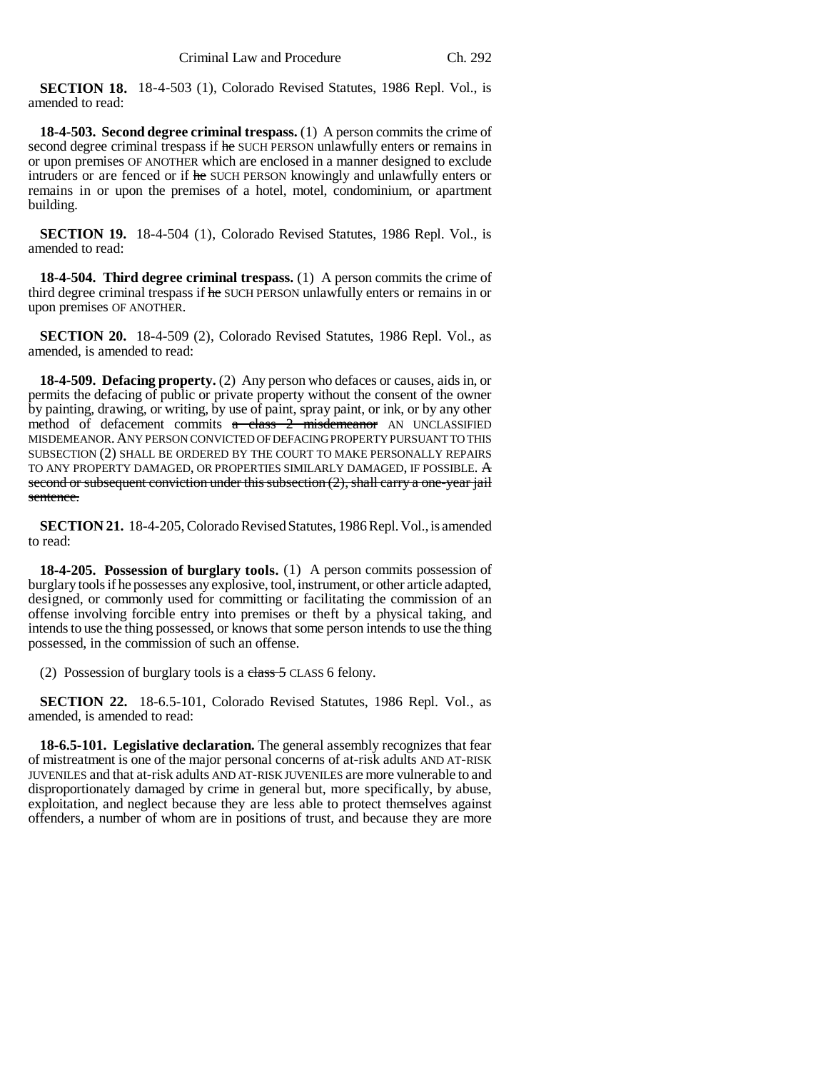**SECTION 18.** 18-4-503 (1), Colorado Revised Statutes, 1986 Repl. Vol., is amended to read:

**18-4-503. Second degree criminal trespass.** (1) A person commits the crime of second degree criminal trespass if he SUCH PERSON unlawfully enters or remains in or upon premises OF ANOTHER which are enclosed in a manner designed to exclude intruders or are fenced or if he SUCH PERSON knowingly and unlawfully enters or remains in or upon the premises of a hotel, motel, condominium, or apartment building.

**SECTION 19.** 18-4-504 (1), Colorado Revised Statutes, 1986 Repl. Vol., is amended to read:

**18-4-504. Third degree criminal trespass.** (1) A person commits the crime of third degree criminal trespass if he SUCH PERSON unlawfully enters or remains in or upon premises OF ANOTHER.

**SECTION 20.** 18-4-509 (2), Colorado Revised Statutes, 1986 Repl. Vol., as amended, is amended to read:

**18-4-509. Defacing property.** (2) Any person who defaces or causes, aids in, or permits the defacing of public or private property without the consent of the owner by painting, drawing, or writing, by use of paint, spray paint, or ink, or by any other method of defacement commits a class 2 misdemeanor AN UNCLASSIFIED MISDEMEANOR.ANY PERSON CONVICTED OF DEFACING PROPERTY PURSUANT TO THIS SUBSECTION (2) SHALL BE ORDERED BY THE COURT TO MAKE PERSONALLY REPAIRS TO ANY PROPERTY DAMAGED, OR PROPERTIES SIMILARLY DAMAGED, IF POSSIBLE. A second or subsequent conviction under this subsection (2), shall carry a one-year jail sentence.

**SECTION 21.** 18-4-205, Colorado Revised Statutes, 1986 Repl. Vol., is amended to read:

**18-4-205. Possession of burglary tools.** (1) A person commits possession of burglary tools if he possesses any explosive, tool, instrument, or other article adapted, designed, or commonly used for committing or facilitating the commission of an offense involving forcible entry into premises or theft by a physical taking, and intends to use the thing possessed, or knows that some person intends to use the thing possessed, in the commission of such an offense.

(2) Possession of burglary tools is a class  $5$  CLASS 6 felony.

**SECTION 22.** 18-6.5-101, Colorado Revised Statutes, 1986 Repl. Vol., as amended, is amended to read:

**18-6.5-101. Legislative declaration.** The general assembly recognizes that fear of mistreatment is one of the major personal concerns of at-risk adults AND AT-RISK JUVENILES and that at-risk adults AND AT-RISK JUVENILES are more vulnerable to and disproportionately damaged by crime in general but, more specifically, by abuse, exploitation, and neglect because they are less able to protect themselves against offenders, a number of whom are in positions of trust, and because they are more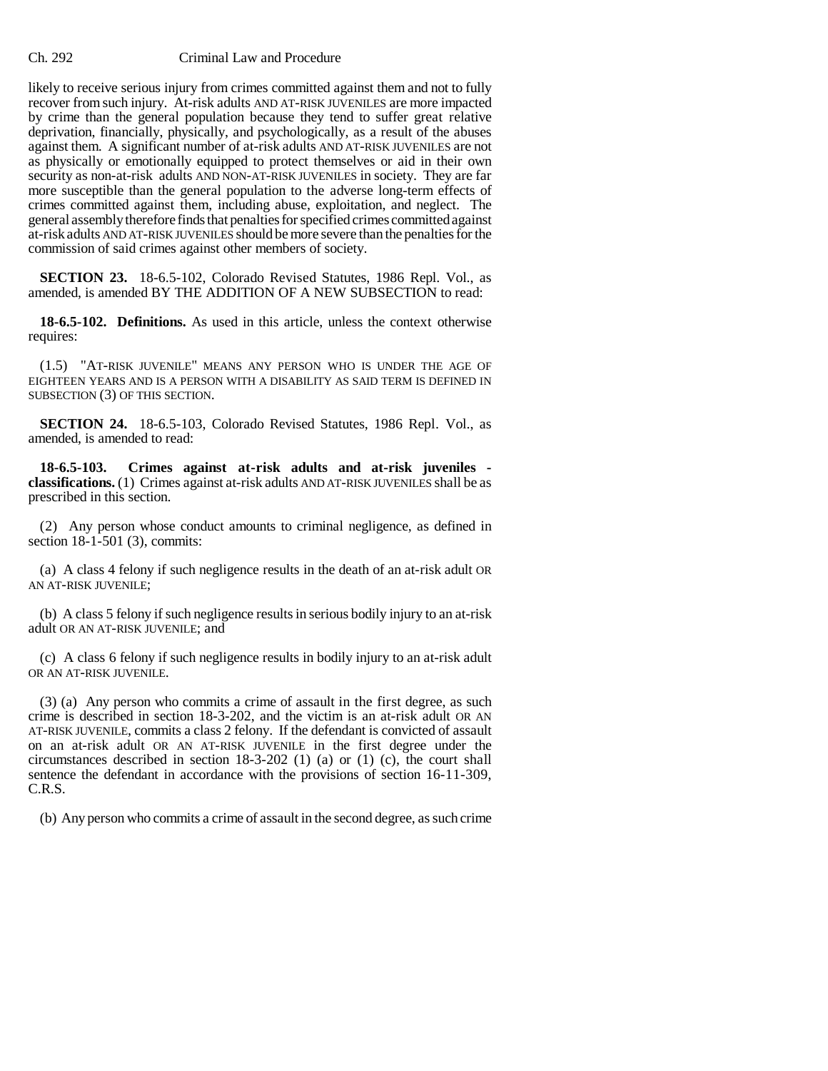likely to receive serious injury from crimes committed against them and not to fully recover from such injury. At-risk adults AND AT-RISK JUVENILES are more impacted by crime than the general population because they tend to suffer great relative deprivation, financially, physically, and psychologically, as a result of the abuses against them. A significant number of at-risk adults AND AT-RISK JUVENILES are not as physically or emotionally equipped to protect themselves or aid in their own security as non-at-risk adults AND NON-AT-RISK JUVENILES in society. They are far more susceptible than the general population to the adverse long-term effects of crimes committed against them, including abuse, exploitation, and neglect. The general assembly therefore finds that penalties for specified crimes committed against at-risk adults AND AT-RISK JUVENILES should be more severe than the penalties for the commission of said crimes against other members of society.

**SECTION 23.** 18-6.5-102, Colorado Revised Statutes, 1986 Repl. Vol., as amended, is amended BY THE ADDITION OF A NEW SUBSECTION to read:

**18-6.5-102. Definitions.** As used in this article, unless the context otherwise requires:

(1.5) "AT-RISK JUVENILE" MEANS ANY PERSON WHO IS UNDER THE AGE OF EIGHTEEN YEARS AND IS A PERSON WITH A DISABILITY AS SAID TERM IS DEFINED IN SUBSECTION (3) OF THIS SECTION.

**SECTION 24.** 18-6.5-103, Colorado Revised Statutes, 1986 Repl. Vol., as amended, is amended to read:

**18-6.5-103. Crimes against at-risk adults and at-risk juveniles classifications.** (1) Crimes against at-risk adults AND AT-RISK JUVENILES shall be as prescribed in this section.

(2) Any person whose conduct amounts to criminal negligence, as defined in section 18-1-501 (3), commits:

(a) A class 4 felony if such negligence results in the death of an at-risk adult OR AN AT-RISK JUVENILE;

(b) A class 5 felony if such negligence results in serious bodily injury to an at-risk adult OR AN AT-RISK JUVENILE; and

(c) A class 6 felony if such negligence results in bodily injury to an at-risk adult OR AN AT-RISK JUVENILE.

(3) (a) Any person who commits a crime of assault in the first degree, as such crime is described in section 18-3-202, and the victim is an at-risk adult OR AN AT-RISK JUVENILE, commits a class 2 felony. If the defendant is convicted of assault on an at-risk adult OR AN AT-RISK JUVENILE in the first degree under the circumstances described in section 18-3-202 (1) (a) or (1) (c), the court shall sentence the defendant in accordance with the provisions of section 16-11-309, C.R.S.

(b) Any person who commits a crime of assault in the second degree, as such crime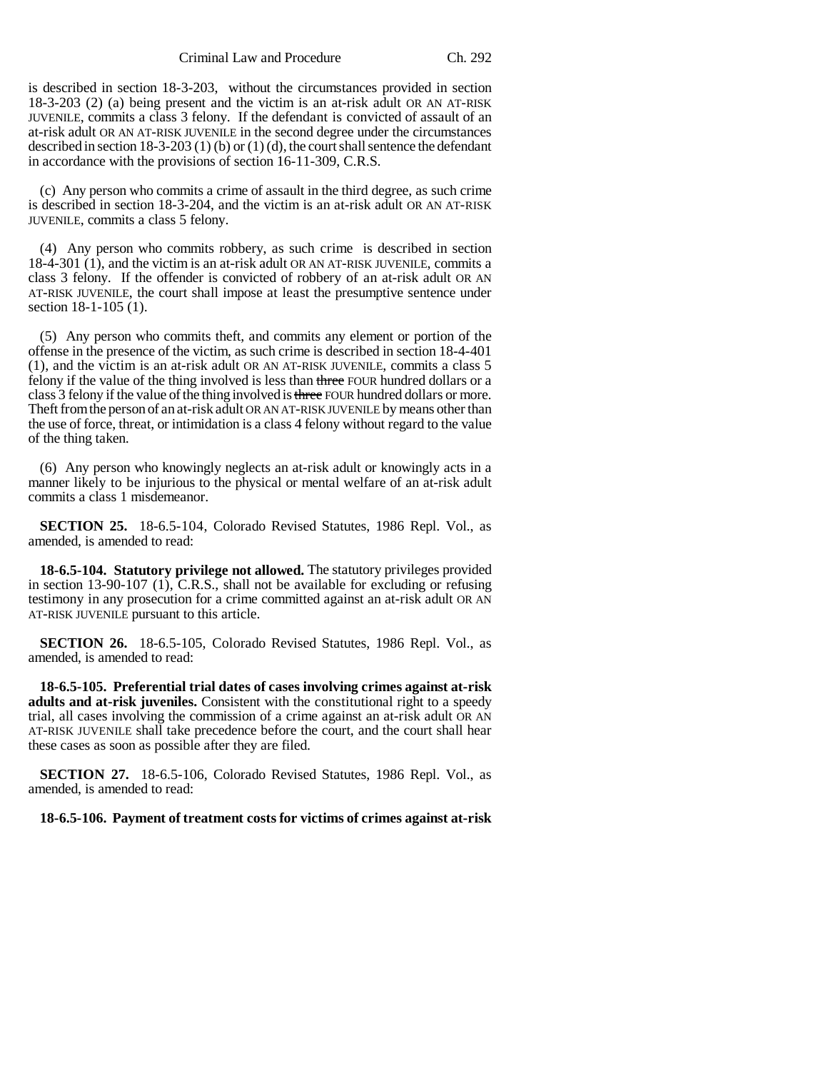is described in section 18-3-203, without the circumstances provided in section 18-3-203 (2) (a) being present and the victim is an at-risk adult OR AN AT-RISK JUVENILE, commits a class 3 felony. If the defendant is convicted of assault of an at-risk adult OR AN AT-RISK JUVENILE in the second degree under the circumstances described in section 18-3-203 (1) (b) or (1) (d), the court shall sentence the defendant in accordance with the provisions of section 16-11-309, C.R.S.

(c) Any person who commits a crime of assault in the third degree, as such crime is described in section 18-3-204, and the victim is an at-risk adult OR AN AT-RISK JUVENILE, commits a class 5 felony.

(4) Any person who commits robbery, as such crime is described in section 18-4-301 (1), and the victim is an at-risk adult OR AN AT-RISK JUVENILE, commits a class 3 felony. If the offender is convicted of robbery of an at-risk adult OR AN AT-RISK JUVENILE, the court shall impose at least the presumptive sentence under section 18-1-105 (1).

(5) Any person who commits theft, and commits any element or portion of the offense in the presence of the victim, as such crime is described in section 18-4-401 (1), and the victim is an at-risk adult OR AN AT-RISK JUVENILE, commits a class 5 felony if the value of the thing involved is less than three FOUR hundred dollars or a class 3 felony if the value of the thing involved is three FOUR hundred dollars or more. Theft from the person of an at-risk adult OR AN AT-RISK JUVENILE by means other than the use of force, threat, or intimidation is a class 4 felony without regard to the value of the thing taken.

(6) Any person who knowingly neglects an at-risk adult or knowingly acts in a manner likely to be injurious to the physical or mental welfare of an at-risk adult commits a class 1 misdemeanor.

**SECTION 25.** 18-6.5-104, Colorado Revised Statutes, 1986 Repl. Vol., as amended, is amended to read:

**18-6.5-104. Statutory privilege not allowed.** The statutory privileges provided in section 13-90-107 (1), C.R.S., shall not be available for excluding or refusing testimony in any prosecution for a crime committed against an at-risk adult OR AN AT-RISK JUVENILE pursuant to this article.

**SECTION 26.** 18-6.5-105, Colorado Revised Statutes, 1986 Repl. Vol., as amended, is amended to read:

**18-6.5-105. Preferential trial dates of cases involving crimes against at-risk adults and at-risk juveniles.** Consistent with the constitutional right to a speedy trial, all cases involving the commission of a crime against an at-risk adult OR AN AT-RISK JUVENILE shall take precedence before the court, and the court shall hear these cases as soon as possible after they are filed.

**SECTION 27.** 18-6.5-106, Colorado Revised Statutes, 1986 Repl. Vol., as amended, is amended to read:

**18-6.5-106. Payment of treatment costs for victims of crimes against at-risk**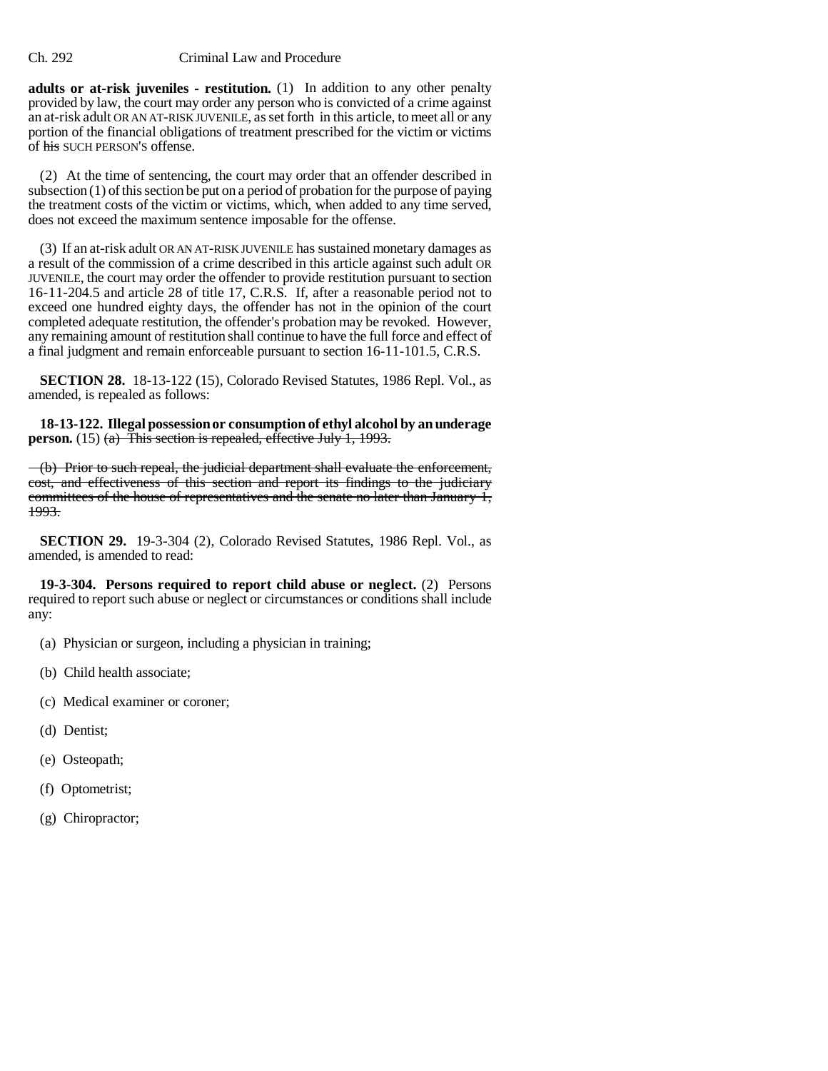**adults or at-risk juveniles - restitution.** (1) In addition to any other penalty provided by law, the court may order any person who is convicted of a crime against an at-risk adult OR AN AT-RISK JUVENILE, as set forth in this article, to meet all or any portion of the financial obligations of treatment prescribed for the victim or victims of his SUCH PERSON'S offense.

(2) At the time of sentencing, the court may order that an offender described in subsection (1) of this section be put on a period of probation for the purpose of paying the treatment costs of the victim or victims, which, when added to any time served, does not exceed the maximum sentence imposable for the offense.

(3) If an at-risk adult OR AN AT-RISK JUVENILE has sustained monetary damages as a result of the commission of a crime described in this article against such adult OR JUVENILE, the court may order the offender to provide restitution pursuant to section 16-11-204.5 and article 28 of title 17, C.R.S. If, after a reasonable period not to exceed one hundred eighty days, the offender has not in the opinion of the court completed adequate restitution, the offender's probation may be revoked. However, any remaining amount of restitution shall continue to have the full force and effect of a final judgment and remain enforceable pursuant to section 16-11-101.5, C.R.S.

**SECTION 28.** 18-13-122 (15), Colorado Revised Statutes, 1986 Repl. Vol., as amended, is repealed as follows:

**18-13-122. Illegal possession or consumption of ethyl alcohol by an underage person.** (15) (a) This section is repealed, effective July 1, 1993.

(b) Prior to such repeal, the judicial department shall evaluate the enforcement, cost, and effectiveness of this section and report its findings to the judiciary committees of the house of representatives and the senate no later than January 1, 1993.

**SECTION 29.** 19-3-304 (2), Colorado Revised Statutes, 1986 Repl. Vol., as amended, is amended to read:

**19-3-304. Persons required to report child abuse or neglect.** (2) Persons required to report such abuse or neglect or circumstances or conditions shall include any:

- (a) Physician or surgeon, including a physician in training;
- (b) Child health associate;
- (c) Medical examiner or coroner;
- (d) Dentist;
- (e) Osteopath;
- (f) Optometrist;
- (g) Chiropractor;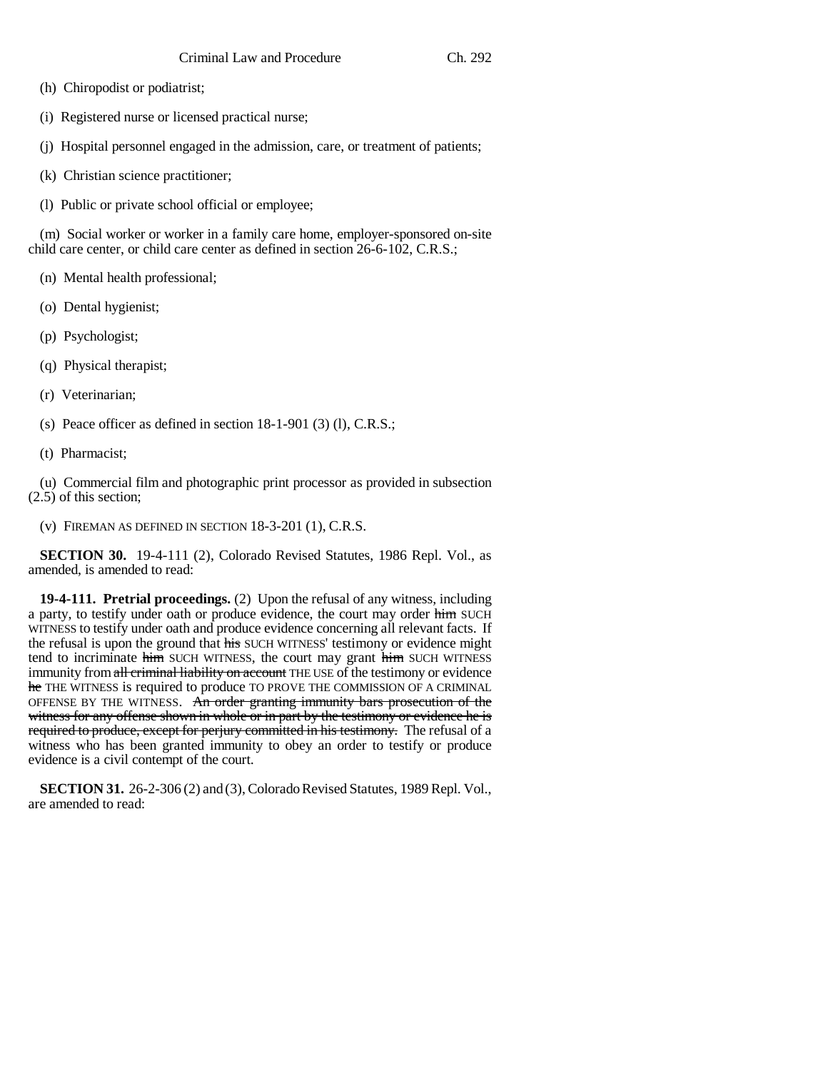- (h) Chiropodist or podiatrist;
- (i) Registered nurse or licensed practical nurse;
- (j) Hospital personnel engaged in the admission, care, or treatment of patients;
- (k) Christian science practitioner;
- (l) Public or private school official or employee;

(m) Social worker or worker in a family care home, employer-sponsored on-site child care center, or child care center as defined in section 26-6-102, C.R.S.;

- (n) Mental health professional;
- (o) Dental hygienist;
- (p) Psychologist;
- (q) Physical therapist;
- (r) Veterinarian;
- (s) Peace officer as defined in section 18-1-901 (3) (l), C.R.S.;
- (t) Pharmacist;

(u) Commercial film and photographic print processor as provided in subsection (2.5) of this section;

(v) FIREMAN AS DEFINED IN SECTION 18-3-201 (1), C.R.S.

**SECTION 30.** 19-4-111 (2), Colorado Revised Statutes, 1986 Repl. Vol., as amended, is amended to read:

**19-4-111. Pretrial proceedings.** (2) Upon the refusal of any witness, including a party, to testify under oath or produce evidence, the court may order him SUCH WITNESS to testify under oath and produce evidence concerning all relevant facts. If the refusal is upon the ground that his SUCH WITNESS' testimony or evidence might tend to incriminate him SUCH WITNESS, the court may grant him SUCH WITNESS immunity from all criminal liability on account THE USE of the testimony or evidence he THE WITNESS is required to produce TO PROVE THE COMMISSION OF A CRIMINAL OFFENSE BY THE WITNESS. An order granting immunity bars prosecution of the witness for any offense shown in whole or in part by the testimony or evidence he is required to produce, except for perjury committed in his testimony. The refusal of a witness who has been granted immunity to obey an order to testify or produce evidence is a civil contempt of the court.

**SECTION 31.** 26-2-306 (2) and (3), Colorado Revised Statutes, 1989 Repl. Vol., are amended to read: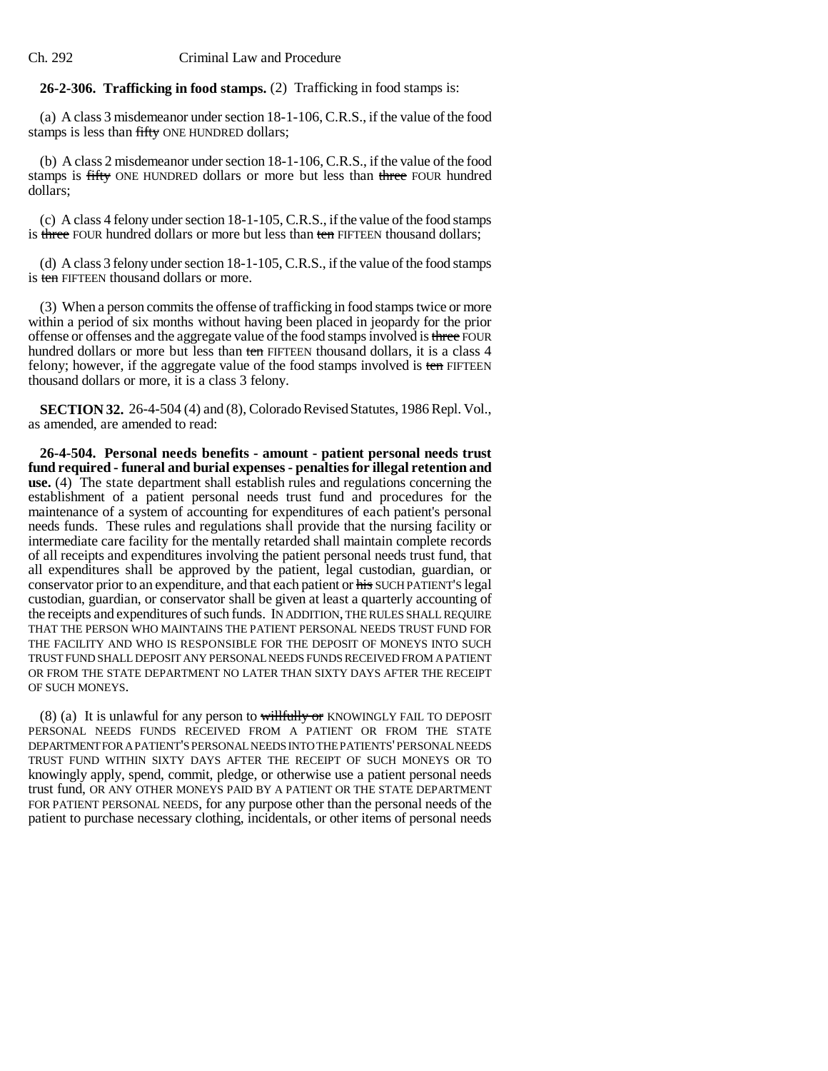# **26-2-306. Trafficking in food stamps.** (2) Trafficking in food stamps is:

(a) A class 3 misdemeanor under section 18-1-106, C.R.S., if the value of the food stamps is less than fifty ONE HUNDRED dollars;

(b) A class 2 misdemeanor under section 18-1-106, C.R.S., if the value of the food stamps is fifty ONE HUNDRED dollars or more but less than three FOUR hundred dollars;

(c) A class 4 felony under section 18-1-105, C.R.S., if the value of the food stamps is three FOUR hundred dollars or more but less than ten FIFTEEN thousand dollars;

(d) A class 3 felony under section 18-1-105, C.R.S., if the value of the food stamps is ten FIFTEEN thousand dollars or more.

(3) When a person commits the offense of trafficking in food stamps twice or more within a period of six months without having been placed in jeopardy for the prior offense or offenses and the aggregate value of the food stamps involved is three FOUR hundred dollars or more but less than ten FIFTEEN thousand dollars, it is a class 4 felony; however, if the aggregate value of the food stamps involved is ten FIFTEEN thousand dollars or more, it is a class 3 felony.

**SECTION 32.** 26-4-504 (4) and (8), Colorado Revised Statutes, 1986 Repl. Vol., as amended, are amended to read:

**26-4-504. Personal needs benefits - amount - patient personal needs trust fund required - funeral and burial expenses - penalties for illegal retention and use.** (4) The state department shall establish rules and regulations concerning the establishment of a patient personal needs trust fund and procedures for the maintenance of a system of accounting for expenditures of each patient's personal needs funds. These rules and regulations shall provide that the nursing facility or intermediate care facility for the mentally retarded shall maintain complete records of all receipts and expenditures involving the patient personal needs trust fund, that all expenditures shall be approved by the patient, legal custodian, guardian, or conservator prior to an expenditure, and that each patient or his SUCH PATIENT'S legal custodian, guardian, or conservator shall be given at least a quarterly accounting of the receipts and expenditures of such funds. IN ADDITION, THE RULES SHALL REQUIRE THAT THE PERSON WHO MAINTAINS THE PATIENT PERSONAL NEEDS TRUST FUND FOR THE FACILITY AND WHO IS RESPONSIBLE FOR THE DEPOSIT OF MONEYS INTO SUCH TRUST FUND SHALL DEPOSIT ANY PERSONAL NEEDS FUNDS RECEIVED FROM A PATIENT OR FROM THE STATE DEPARTMENT NO LATER THAN SIXTY DAYS AFTER THE RECEIPT OF SUCH MONEYS.

(8) (a) It is unlawful for any person to will fully or KNOWINGLY FAIL TO DEPOSIT PERSONAL NEEDS FUNDS RECEIVED FROM A PATIENT OR FROM THE STATE DEPARTMENT FOR A PATIENT'S PERSONAL NEEDS INTO THE PATIENTS' PERSONAL NEEDS TRUST FUND WITHIN SIXTY DAYS AFTER THE RECEIPT OF SUCH MONEYS OR TO knowingly apply, spend, commit, pledge, or otherwise use a patient personal needs trust fund, OR ANY OTHER MONEYS PAID BY A PATIENT OR THE STATE DEPARTMENT FOR PATIENT PERSONAL NEEDS, for any purpose other than the personal needs of the patient to purchase necessary clothing, incidentals, or other items of personal needs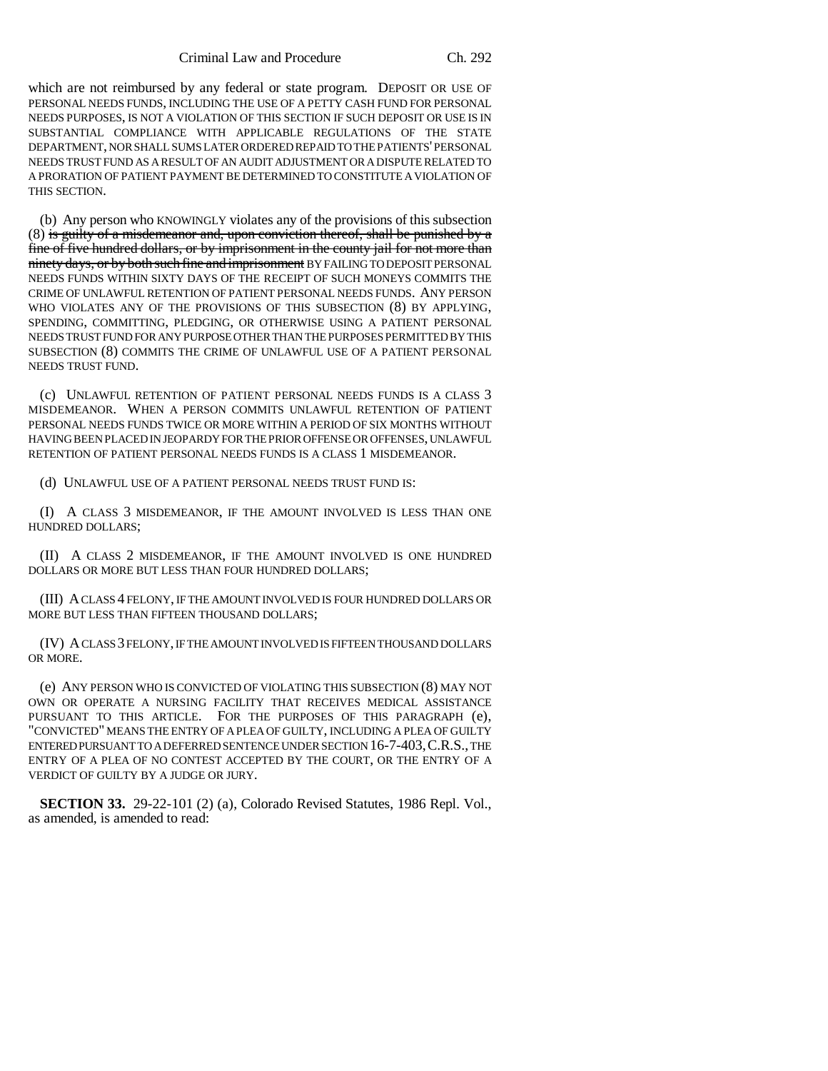which are not reimbursed by any federal or state program. DEPOSIT OR USE OF PERSONAL NEEDS FUNDS, INCLUDING THE USE OF A PETTY CASH FUND FOR PERSONAL NEEDS PURPOSES, IS NOT A VIOLATION OF THIS SECTION IF SUCH DEPOSIT OR USE IS IN SUBSTANTIAL COMPLIANCE WITH APPLICABLE REGULATIONS OF THE STATE DEPARTMENT, NOR SHALL SUMS LATER ORDERED REPAID TO THE PATIENTS' PERSONAL NEEDS TRUST FUND AS A RESULT OF AN AUDIT ADJUSTMENT OR A DISPUTE RELATED TO A PRORATION OF PATIENT PAYMENT BE DETERMINED TO CONSTITUTE A VIOLATION OF THIS SECTION.

(b) Any person who KNOWINGLY violates any of the provisions of this subsection  $(8)$  is guilty of a misdemeanor and, upon conviction thereof, shall be punished by a fine of five hundred dollars, or by imprisonment in the county jail for not more than ninety days, or by both such fine and imprisonment BY FAILING TO DEPOSIT PERSONAL NEEDS FUNDS WITHIN SIXTY DAYS OF THE RECEIPT OF SUCH MONEYS COMMITS THE CRIME OF UNLAWFUL RETENTION OF PATIENT PERSONAL NEEDS FUNDS. ANY PERSON WHO VIOLATES ANY OF THE PROVISIONS OF THIS SUBSECTION (8) BY APPLYING, SPENDING, COMMITTING, PLEDGING, OR OTHERWISE USING A PATIENT PERSONAL NEEDS TRUST FUND FOR ANY PURPOSE OTHER THAN THE PURPOSES PERMITTED BY THIS SUBSECTION (8) COMMITS THE CRIME OF UNLAWFUL USE OF A PATIENT PERSONAL NEEDS TRUST FUND.

(c) UNLAWFUL RETENTION OF PATIENT PERSONAL NEEDS FUNDS IS A CLASS 3 MISDEMEANOR. WHEN A PERSON COMMITS UNLAWFUL RETENTION OF PATIENT PERSONAL NEEDS FUNDS TWICE OR MORE WITHIN A PERIOD OF SIX MONTHS WITHOUT HAVING BEEN PLACED IN JEOPARDY FOR THE PRIOR OFFENSE OR OFFENSES, UNLAWFUL RETENTION OF PATIENT PERSONAL NEEDS FUNDS IS A CLASS 1 MISDEMEANOR.

(d) UNLAWFUL USE OF A PATIENT PERSONAL NEEDS TRUST FUND IS:

(I) A CLASS 3 MISDEMEANOR, IF THE AMOUNT INVOLVED IS LESS THAN ONE HUNDRED DOLLARS;

(II) A CLASS 2 MISDEMEANOR, IF THE AMOUNT INVOLVED IS ONE HUNDRED DOLLARS OR MORE BUT LESS THAN FOUR HUNDRED DOLLARS;

(III) A CLASS 4 FELONY, IF THE AMOUNT INVOLVED IS FOUR HUNDRED DOLLARS OR MORE BUT LESS THAN FIFTEEN THOUSAND DOLLARS;

(IV) A CLASS 3 FELONY, IF THE AMOUNT INVOLVED IS FIFTEEN THOUSAND DOLLARS OR MORE.

(e) ANY PERSON WHO IS CONVICTED OF VIOLATING THIS SUBSECTION (8) MAY NOT OWN OR OPERATE A NURSING FACILITY THAT RECEIVES MEDICAL ASSISTANCE PURSUANT TO THIS ARTICLE. FOR THE PURPOSES OF THIS PARAGRAPH (e), "CONVICTED" MEANS THE ENTRY OF A PLEA OF GUILTY, INCLUDING A PLEA OF GUILTY ENTERED PURSUANT TO A DEFERRED SENTENCE UNDER SECTION 16-7-403,C.R.S., THE ENTRY OF A PLEA OF NO CONTEST ACCEPTED BY THE COURT, OR THE ENTRY OF A VERDICT OF GUILTY BY A JUDGE OR JURY.

**SECTION 33.** 29-22-101 (2) (a), Colorado Revised Statutes, 1986 Repl. Vol., as amended, is amended to read: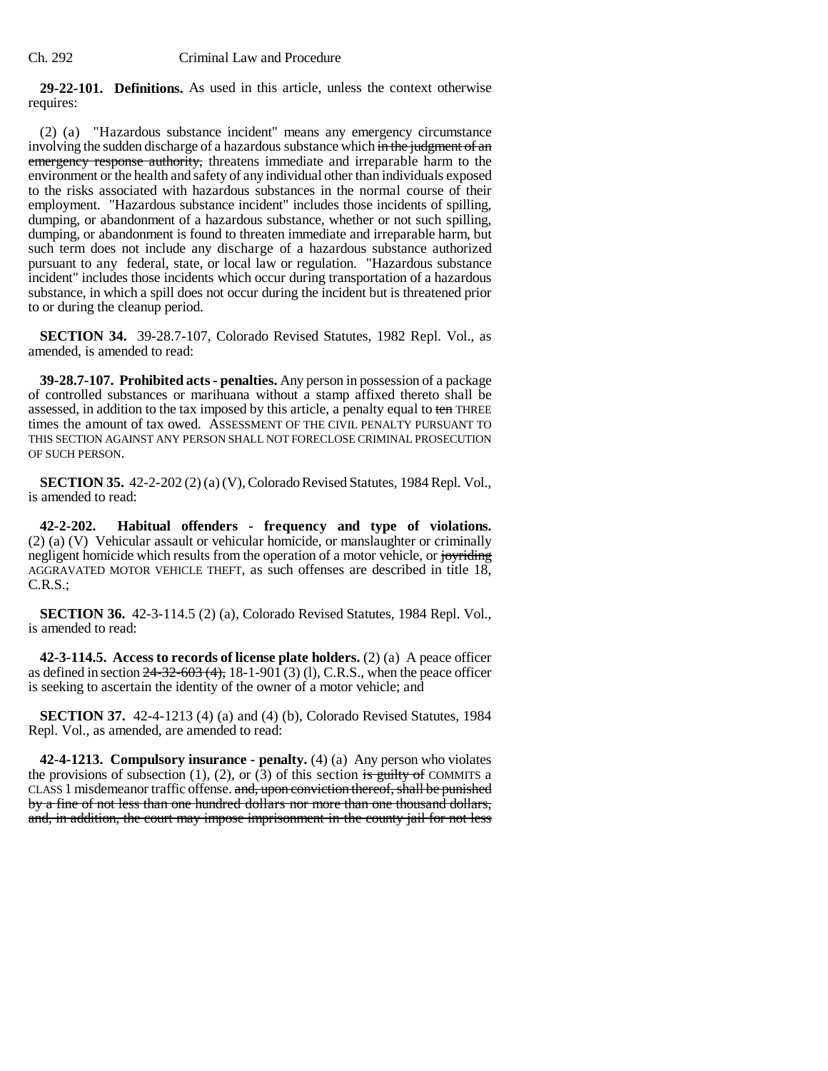**29-22-101. Definitions.** As used in this article, unless the context otherwise requires:

(2) (a) "Hazardous substance incident" means any emergency circumstance involving the sudden discharge of a hazardous substance which in the judgment of an emergency response authority, threatens immediate and irreparable harm to the environment or the health and safety of any individual other than individuals exposed to the risks associated with hazardous substances in the normal course of their employment. "Hazardous substance incident" includes those incidents of spilling, dumping, or abandonment of a hazardous substance, whether or not such spilling, dumping, or abandonment is found to threaten immediate and irreparable harm, but such term does not include any discharge of a hazardous substance authorized pursuant to any federal, state, or local law or regulation. "Hazardous substance incident" includes those incidents which occur during transportation of a hazardous substance, in which a spill does not occur during the incident but is threatened prior to or during the cleanup period.

**SECTION 34.** 39-28.7-107, Colorado Revised Statutes, 1982 Repl. Vol., as amended, is amended to read:

**39-28.7-107. Prohibited acts - penalties.** Any person in possession of a package of controlled substances or marihuana without a stamp affixed thereto shall be assessed, in addition to the tax imposed by this article, a penalty equal to ten THREE times the amount of tax owed. ASSESSMENT OF THE CIVIL PENALTY PURSUANT TO THIS SECTION AGAINST ANY PERSON SHALL NOT FORECLOSE CRIMINAL PROSECUTION OF SUCH PERSON.

**SECTION 35.** 42-2-202 (2) (a) (V), Colorado Revised Statutes, 1984 Repl. Vol., is amended to read:

**42-2-202. Habitual offenders - frequency and type of violations.** (2) (a) (V) Vehicular assault or vehicular homicide, or manslaughter or criminally negligent homicide which results from the operation of a motor vehicle, or joyriding AGGRAVATED MOTOR VEHICLE THEFT, as such offenses are described in title 18, C.R.S.;

**SECTION 36.** 42-3-114.5 (2) (a), Colorado Revised Statutes, 1984 Repl. Vol., is amended to read:

**42-3-114.5. Access to records of license plate holders.** (2) (a) A peace officer as defined in section  $24-32-603(4)$ , 18-1-901 (3) (1), C.R.S., when the peace officer is seeking to ascertain the identity of the owner of a motor vehicle; and

**SECTION 37.** 42-4-1213 (4) (a) and (4) (b), Colorado Revised Statutes, 1984 Repl. Vol., as amended, are amended to read:

**42-4-1213. Compulsory insurance - penalty.** (4) (a) Any person who violates the provisions of subsection  $(1)$ ,  $(2)$ , or  $(3)$  of this section is guilty of COMMITS a CLASS 1 misdemeanor traffic offense. and, upon conviction thereof, shall be punished by a fine of not less than one hundred dollars nor more than one thousand dollars, and, in addition, the court may impose imprisonment in the county jail for not less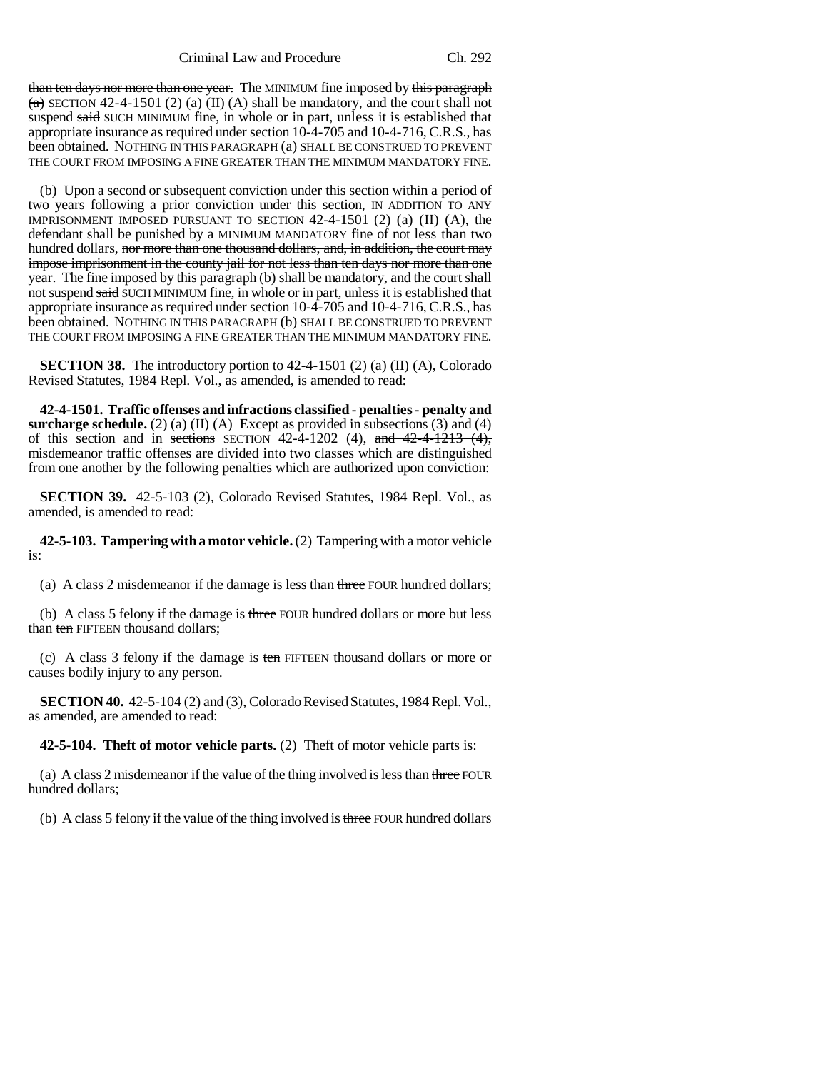than ten days nor more than one year. The MINIMUM fine imposed by this paragraph  $(a)$  SECTION 42-4-1501 (2) (a) (II) (A) shall be mandatory, and the court shall not suspend said SUCH MINIMUM fine, in whole or in part, unless it is established that appropriate insurance as required under section 10-4-705 and 10-4-716, C.R.S., has been obtained. NOTHING IN THIS PARAGRAPH (a) SHALL BE CONSTRUED TO PREVENT THE COURT FROM IMPOSING A FINE GREATER THAN THE MINIMUM MANDATORY FINE.

(b) Upon a second or subsequent conviction under this section within a period of two years following a prior conviction under this section, IN ADDITION TO ANY IMPRISONMENT IMPOSED PURSUANT TO SECTION 42-4-1501 (2) (a) (II) (A), the defendant shall be punished by a MINIMUM MANDATORY fine of not less than two hundred dollars, nor more than one thousand dollars, and, in addition, the court may impose imprisonment in the county jail for not less than ten days nor more than one year. The fine imposed by this paragraph (b) shall be mandatory, and the court shall not suspend said SUCH MINIMUM fine, in whole or in part, unless it is established that appropriate insurance as required under section 10-4-705 and 10-4-716, C.R.S., has been obtained. NOTHING IN THIS PARAGRAPH (b) SHALL BE CONSTRUED TO PREVENT THE COURT FROM IMPOSING A FINE GREATER THAN THE MINIMUM MANDATORY FINE.

**SECTION 38.** The introductory portion to  $42-4-1501$  (2) (a) (II) (A), Colorado Revised Statutes, 1984 Repl. Vol., as amended, is amended to read:

**42-4-1501. Traffic offenses and infractions classified - penalties - penalty and surcharge schedule.** (2) (a) (II) (A) Except as provided in subsections (3) and (4) of this section and in sections SECTION 42-4-1202 (4), and  $42-4-1213$  (4), misdemeanor traffic offenses are divided into two classes which are distinguished from one another by the following penalties which are authorized upon conviction:

**SECTION 39.** 42-5-103 (2), Colorado Revised Statutes, 1984 Repl. Vol., as amended, is amended to read:

**42-5-103. Tampering with a motor vehicle.** (2) Tampering with a motor vehicle is:

(a) A class 2 misdemeanor if the damage is less than three FOUR hundred dollars;

(b) A class 5 felony if the damage is three FOUR hundred dollars or more but less than ten FIFTEEN thousand dollars;

(c) A class 3 felony if the damage is ten FIFTEEN thousand dollars or more or causes bodily injury to any person.

**SECTION 40.** 42-5-104 (2) and (3), Colorado Revised Statutes, 1984 Repl. Vol., as amended, are amended to read:

**42-5-104. Theft of motor vehicle parts.** (2) Theft of motor vehicle parts is:

(a) A class 2 misdemeanor if the value of the thing involved is less than three FOUR hundred dollars;

(b) A class 5 felony if the value of the thing involved is three FOUR hundred dollars